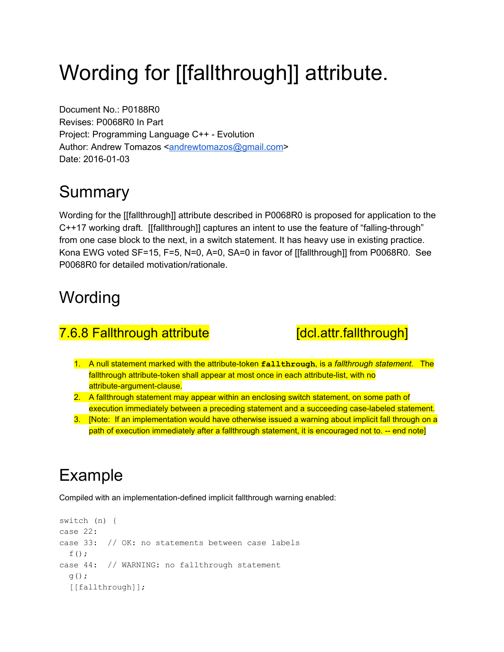# Wording for [[fallthrough]] attribute.

Document No.: P0188R0 Revises: P0068R0 In Part Project: Programming Language C++ Evolution Author: Andrew Tomazos [<andrewtomazos@gmail.com>](mailto:andrewtomazos@gmail.com) Date: 2016-01-03

## Summary

Wording for the [[fallthrough]] attribute described in P0068R0 is proposed for application to the C++17 working draft. [[fallthrough]] captures an intent to use the feature of "falling-through" from one case block to the next, in a switch statement. It has heavy use in existing practice. Kona EWG voted SF=15, F=5, N=0, A=0, SA=0 in favor of [[fallthrough]] from P0068R0. See P0068R0 for detailed motivation/rationale.

#### **Wording**

#### 7.6.8 Fallthrough attribute **[dcl.attr.fallthrough**]

- 1. A null statement marked with the attribute-token fallthrough, is a *fallthrough statement*. The fallthrough attribute-token shall appear at most once in each attribute-list, with no attribute-argument-clause.
- 2. A fallthrough statement may appear within an enclosing switch statement, on some path of execution immediately between a preceding statement and a succeeding case-labeled statement.
- 3. [Note: If an implementation would have otherwise issued a warning about implicit fall through on a path of execution immediately after a fallthrough statement, it is encouraged not to. -- end note]

# Example

Compiled with an implementation-defined implicit fallthrough warning enabled:

```
switch (n) {
case 22:
case 33: // OK: no statements between case labels
 f();
case 44: // WARNING: no fallthrough statement
 q();
  [[fallthrough]];
```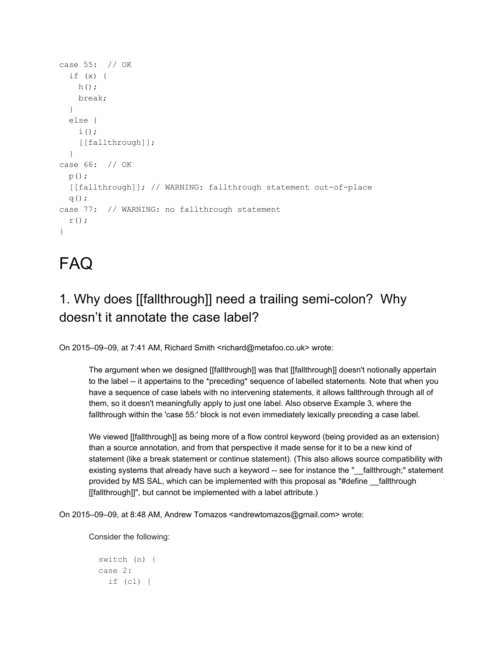```
case 55: // OK
 if (x) {
   h();
   break;
  }
 else {
   i();
    [[fallthrough]];
 }
case 66: // OK
 p();
 [[fallthrough]]; // WARNING: fallthrough statement out-of-place
 q();
case 77: // WARNING: no fallthrough statement
 r();
}
```
## FAQ

#### 1. Why does [[fallthrough]] need a trailing semi-colon? Why doesn't it annotate the case label?

On 2015–09–09, at 7:41 AM, Richard Smith <richard@metafoo.co.uk> wrote:

The argument when we designed [[fallthrough]] was that [[fallthrough]] doesn't notionally appertain to the label -- it appertains to the \*preceding\* sequence of labelled statements. Note that when you have a sequence of case labels with no intervening statements, it allows fallthrough through all of them, so it doesn't meaningfully apply to just one label. Also observe Example 3, where the fallthrough within the 'case 55:' block is not even immediately lexically preceding a case label.

We viewed [[fallthrough]] as being more of a flow control keyword (being provided as an extension) than a source annotation, and from that perspective it made sense for it to be a new kind of statement (like a break statement or continue statement). (This also allows source compatibility with existing systems that already have such a keyword -- see for instance the "\_\_fallthrough;" statement provided by MS SAL, which can be implemented with this proposal as "#define \_\_fallthrough [[fallthrough]]", but cannot be implemented with a label attribute.)

On 2015–09–09, at 8:48 AM, Andrew Tomazos <andrewtomazos@gmail.com> wrote:

Consider the following:

```
switch (n) {
case 2:
  if (c1) {
```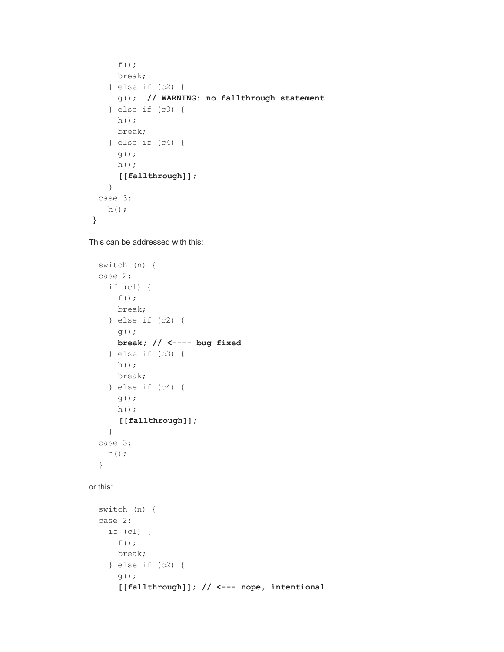```
f();
    break;
   } else if (c2) {
     g(); // WARNING: no fallthrough statement
   } else if (c3) {
    h();
    break;
   } else if (c4) {
    g();
    h();
     [[fallthrough]];
   }
 case 3:
  h();
}
```
This can be addressed with this:

```
switch (n) {
case 2:
 if (c1) {
   f();
   break;
  } else if (c2) {
   g();
   break; // < bug fixed
  } else if (c3) {
   h();
   break;
  } else if (c4) {
   g();
   h();
    [[fallthrough]];
  }
case 3:
 h();
}
```
#### or this:

```
switch (n) {
case 2:
 if (c1) {
   f();
   break;
 } else if (c2) {
   g();
    [[fallthrough]]; // < nope, intentional
```